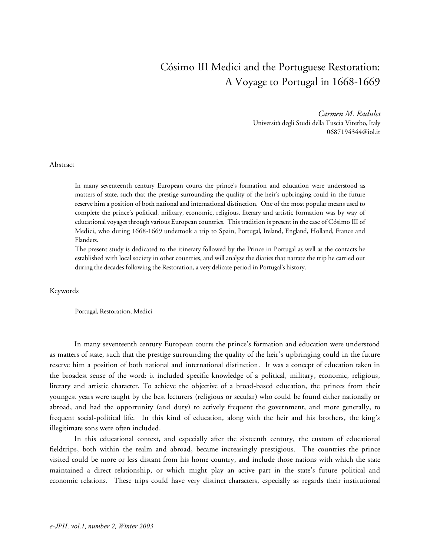## Cósimo III Medici and the Portuguese Restoration: A Voyage to Portugal in 1668-1669

*Carmen M. Radulet* Università degli Studi della Tuscia Viterbo, Italy 0687194344@iol.it

## Abstract

In many seventeenth century European courts the prince's formation and education were understood as matters of state, such that the prestige surrounding the quality of the heir's upbringing could in the future reserve him a position of both national and international distinction. One of the most popular means used to complete the prince's political, military, economic, religious, literary and artistic formation was by way of educational voyages through various European countries. This tradition is present in the case of Cósimo III of Medici, who during 1668-1669 undertook a trip to Spain, Portugal, Ireland, England, Holland, France and Flanders.

The present study is dedicated to the itinerary followed by the Prince in Portugal as well as the contacts he established with local society in other countries, and will analysethe diaries that narrate the trip he carried out during the decades following the Restoration, a very delicate period in Portugal's history.

Keywords

Portugal, Restoration, Medici

In many seventeenth century European courts the prince's formation and education were understood as matters of state, such that the prestige surrounding the quality of the heir's upbringing could in the future reserve him a position of both national and international distinction. It was a concept of education taken in the broadest sense of the word: it included specific knowledge of a political, military, economic, religious, literary and artistic character. To achieve the objective of a broad-based education, the princes from their youngest years were taught by the best lecturers (religious or secular) who could be found either nationally or abroad, and had the opportunity (and duty) to actively frequent the government, and more generally, to frequent social-political life. In this kind of education, along with the heir and his brothers, the king's illegitimate sons were often included.

In this educational context, and especially after the sixteenth century, the custom of educational fieldtrips, both within the realm and abroad, became increasingly prestigious. The countries the prince visited could be more or less distant from his home country, and include those nations with which the state maintained a direct relationship, or which might play an active part in the state's future political and economic relations. These trips could have very distinct characters, especially as regards their institutional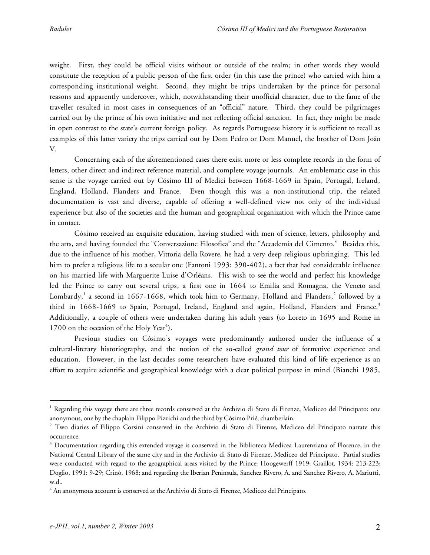weight. First, they could be official visits without or outside of the realm; in other words they would constitute the reception of a public person of the first order (in this case the prince) who carried with him a corresponding institutional weight. Second, they might be trips undertaken by the prince for personal reasons and apparently undercover, which, notwithstanding their unofficial character, due to the fame of the traveller resulted in most cases in consequences of an "official" nature. Third, they could be pilgrimages carried out by the prince of his own initiative and not reflecting official sanction. In fact, they might be made in open contrast to the state's current foreign policy. As regards Portuguese history it is sufficient to recall as examples of this latter variety the trips carried out by Dom Pedro or Dom Manuel, the brother of Dom João V.

Concerning each of the aforementioned cases there exist more or less complete records in the form of letters, other direct and indirect reference material, and complete voyage journals. An emblematic case in this sense is the voyage carried out by Cósimo III of Medici between 1668-1669 in Spain, Portugal, Ireland, England, Holland, Flanders and France. Even though this was a non-institutional trip, the related documentation is vast and diverse, capable of offering a well-defined view not only of the individual experience but also of the societies and the human and geographical organization with which the Prince came in contact.

Cósimo received an exquisite education, having studied with men of science, letters, philosophy and the arts, and having founded the "Conversazione Filosofica" and the "Accademia del Cimento." Besides this, due to the influence of his mother, Vittoria della Rovere, he had a very deep religious upbringing. This led him to prefer a religious life to a secular one (Fantoni 1993: 390-402), a fact that had considerable influence on his married life with Marguerite Luise d'Orléans. His wish to see the world and perfect his knowledge led the Prince to carry out several trips, a first one in 1664 to Emilia and Romagna, the Veneto and Lombardy, <sup>1</sup> a second in 1667-1668, which took him to Germany, Holland and Flanders, <sup>2</sup> followed by a third in 1668-1669 to Spain, Portugal, Ireland, England and again, Holland, Flanders and France.<sup>3</sup> Additionally, a couple of others were undertaken during his adult years (to Loreto in 1695 and Rome in 1700 on the occasion of the Holy Year<sup>4</sup>).

Previous studies on Cósimo's voyages were predominantly authored under the influence of a cultural-literary historiography, and the notion of the so-called *grand tour* of formative experience and education. However, in the last decades some researchers have evaluated this kind of life experience as an effort to acquire scientific and geographical knowledge with a clear political purpose in mind (Bianchi 1985,

<sup>&</sup>lt;sup>1</sup> Regarding this voyage there are three records conserved at the Archivio di Stato di Firenze, Mediceo del Principato: one anonymous, one by the chaplain Filippo Pizzichi and thethird by Cósimo Prié, chamberlain.

<sup>2</sup> Two diaries of Filippo Corsini conserved in the Archivio di Stato di Firenze, Mediceo del Principato narrate this occurrence.

<sup>&</sup>lt;sup>3</sup> Documentation regarding this extended voyage is conserved in the Biblioteca Medicea Laurenziana of Florence, in the National Central Library of the same city and in the Archivio di Stato di Firenze, Mediceo del Principato. Partial studies were conducted with regard to the geographical areas visited by the Prince: Hoogewerff 1919; Graillot, 1934: 213-223; Doglio, 1991: 9-29; Crinò, 1968; and regarding the Iberian Peninsula, Sanchez Rivero, A. and Sanchez Rivero, A. Mariutti, w.d..

 $4$  An anonymous account is conserved at the Archivio di Stato di Firenze, Mediceo del Principato.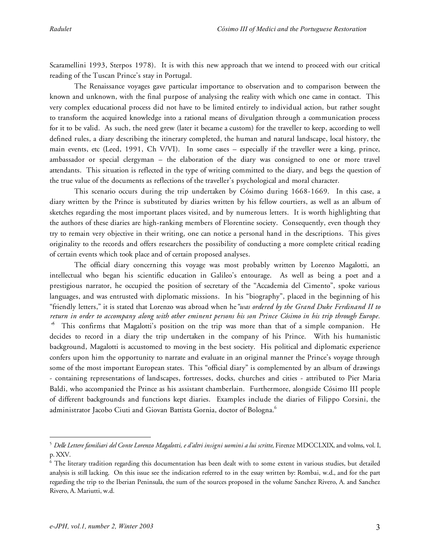Scaramellini 1993, Sterpos 1978). It is with this new approach that we intend to proceed with our critical reading of the Tuscan Prince's stay in Portugal.

The Renaissance voyages gave particular importance to observation and to comparison between the known and unknown, with the final purpose of analysing the reality with which one came in contact. This very complex educational process did not have to be limited entirely to individual action, but rather sought to transform the acquired knowledge into a rational means of divulgation through a communication process for it to be valid. As such, the need grew (later it became a custom) for the traveller to keep, according to well defined rules, a diary describing the itinerary completed, the human and natural landscape, local history, the main events, etc (Leed, 1991, Ch V/VI). In some cases – especially if the traveller were a king, prince, ambassador or special clergyman – the elaboration of the diary was consigned to one or more travel attendants. This situation is reflected in the type of writing committed to the diary, and begs the question of the true value of the documents as reflections of the traveller's psychological and moral character.

This scenario occurs during the trip undertaken by Cósimo during 1668-1669. In this case, a diary written by the Prince is substituted by diaries written by his fellow courtiers, as well as an album of sketches regarding the most important places visited, and by numerous letters. It is worth highlighting that the authors of these diaries are high-ranking members of Florentine society. Consequently, even though they try to remain very objective in their writing, one can notice a personal hand in the descriptions. This gives originality to the records and offers researchers the possibility of conducting a more complete critical reading of certain events which took place and of certain proposed analyses.

The official diary concerning this voyage was most probably written by Lorenzo Magalotti, an intellectual who began his scientific education in Galileo's entourage. As well as being a poet and a prestigious narrator, he occupied the position of secretary of the "Accademia del Cimento", spoke various languages, and was entrusted with diplomatic missions. In his "biography", placed in the beginning of his "friendly letters," it is stated that Lorenzo was abroad when he*"was ordered by the Grand Duke Ferdinand II to* return in order to accompany along with other eminent persons his son Prince Cósimo in his trip through Europe. *"* <sup>5</sup> This confirms that Magalotti's position on the trip was more than that of a simple companion. He decides to record in a diary the trip undertaken in the company of his Prince. With his humanistic background, Magalotti is accustomed to moving in the best society. His political and diplomatic experience confers upon him the opportunity to narrate and evaluate in an original manner the Prince's voyage through some of the most important European states. This "official diary" is complemented by an album of drawings - containing representations of landscapes, fortresses, docks, churches and cities - attributed to Pier Maria Baldi, who accompanied the Prince as his assistant chamberlain. Furthermore, alongside Cósimo III people of different backgrounds and functions kept diaries. Examples include the diaries of Filippo Corsini, the administrator Jacobo Ciuti and Giovan Battista Gornia, doctor of Bologna. 6

 $^5$  Delle Lettere familiari del Conte Lorenzo Magalotti, e d'altri insigni uomini a lui scritte, Firenze MDCCLXIX, and volms, vol. I, p. XXV.

<sup>&</sup>lt;sup>6</sup> The literary tradition regarding this documentation has been dealt with to some extent in various studies, but detailed analysis is still lacking. On this issue see the indication referred to in the essay written by: Rombai, w.d., and for the part regarding the trip to the Iberian Peninsula, the sum of the sources proposed in the volume Sanchez Rivero, A. and Sanchez Rivero, A. Mariutti, w.d.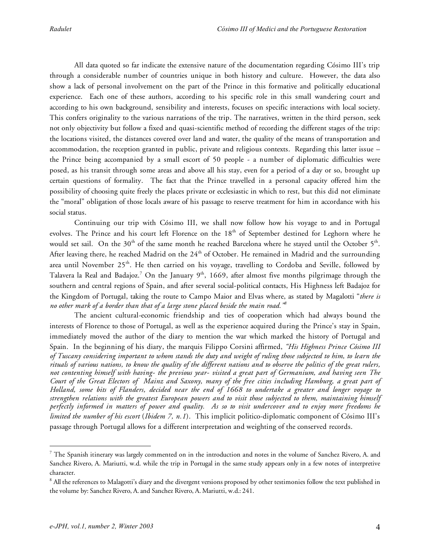All data quoted so far indicate the extensive nature of the documentation regarding Cósimo III's trip through a considerable number of countries unique in both history and culture. However, the data also show a lack of personal involvement on the part of the Prince in this formative and politically educational experience. Each one of these authors, according to his specific role in this small wandering court and according to his own background, sensibility and interests, focuses on specific interactions with local society. This confers originality to the various narrations of the trip. The narratives, written in the third person, seek not only objectivity but follow a fixed and quasi-scientific method of recording the different stages of the trip: the locations visited, the distances covered over land and water, the quality of the means of transportation and accommodation, the reception granted in public, private and religious contexts. Regarding this latter issue – the Prince being accompanied by a small escort of 50 people - a number of diplomatic difficulties were posed, as his transit through some areas and above all his stay, even for a period of a day or so, brought up certain questions of formality. The fact that the Prince travelled in a personal capacity offered him the possibility of choosing quite freely the places private or ecclesiastic in which to rest, but this did not eliminate the "moral" obligation of those locals aware of his passage to reserve treatment for him in accordance with his social status.

Continuing our trip with Cósimo III, we shall now follow how his voyage to and in Portugal evolves. The Prince and his court left Florence on the  $18^{\text{th}}$  of September destined for Leghorn where he would set sail. On the 30<sup>th</sup> of the same month he reached Barcelona where he stayed until the October 5<sup>th</sup>. After leaving there, he reached Madrid on the 24<sup>th</sup> of October. He remained in Madrid and the surrounding area until November 25<sup>th</sup>. He then carried on his voyage, travelling to Cordoba and Seville, followed by Talavera la Real and Badajoz.<sup>7</sup> On the January 9<sup>th</sup>, 1669, after almost five months pilgrimage through the southern and central regions of Spain, and after several social-political contacts, His Highness left Badajoz for the Kingdom of Portugal, taking the route to Campo Maior and Elvas where, as stated by Magalotti "*there is no other mark of a border than that of a large stone placed beside the main road." 8*

The ancient cultural-economic friendship and ties of cooperation which had always bound the interests of Florence to those of Portugal, as well as the experience acquired during the Prince's stay in Spain, immediately moved the author of the diary to mention the war which marked the history of Portugal and Spain. In the beginning of his diary, the marquis Filippo Corsini affirmed, *"His Highness Prince Cósimo III* of Tuscany considering important to whom stands the duty and weight of ruling those subjected to him, to learn the rituals of various nations, to know the quality of the different nations and to observe the politics of the great rulers, not contenting himself with having- the previous year- visited a great part of Germanium, and having seen The Court of the Great Electors of Mainz and Saxony, many of the free cities including Hamburg, a great part of Holland, some bits of Flanders, decided near the end of 1668 to undertake a greater and longer voyage to *strengthen relations with the greatest European powers and to visit those subjected to them, maintaining himself* perfectly informed in matters of power and quality. As so to visit undercover and to enjoy more freedoms he *limited the number of his escort* (*Ibidem 7, n.1*). This implicit politico-diplomatic component of Cósimo III's passage through Portugal allows for a different interpretation and weighting of the conserved records.

 $<sup>7</sup>$  The Spanish itinerary was largely commented on in the introduction and notes in the volume of Sanchez Rivero, A. and</sup> Sanchez Rivero, A. Mariutti, w.d. while the trip in Portugal in the same study appears only in a few notes of interpretive character.

<sup>&</sup>lt;sup>8</sup> All the references to Malagotti's diary and the divergent versions proposed by other testimonies follow the text published in the volume by: Sanchez Rivero, A. and Sanchez Rivero, A. Mariutti, w.d.: 241.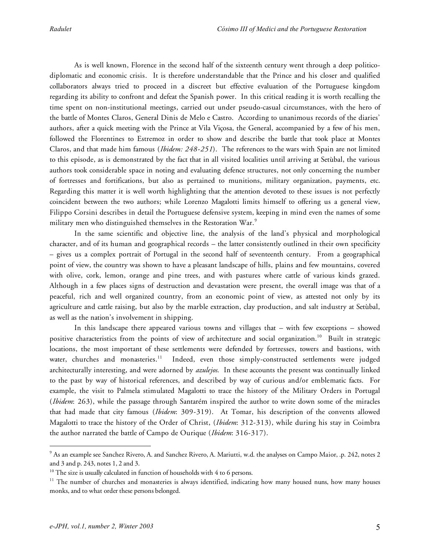As is well known, Florence in the second half of the sixteenth century went through a deep politicodiplomatic and economic crisis. It is therefore understandable that the Prince and his closer and qualified collaborators always tried to proceed in a discreet but effective evaluation of the Portuguese kingdom regarding its ability to confront and defeat the Spanish power. In this critical reading it is worth recalling the time spent on non-institutional meetings, carried out under pseudo-casual circumstances, with the hero of the battle of Montes Claros, General Dinis de Melo e Castro. According to unanimous records of the diaries' authors, after a quick meeting with the Prince at Vila Viçosa, the General, accompanied by a few of his men, followed the Florentines to Estremoz in order to show and describe the battle that took place at Montes Claros, and that made him famous (*Ibidem: 248-251*). The references to the wars with Spain are not limited to this episode, as is demonstrated by the fact that in all visited localities until arriving at Setùbal, the various authors took considerable space in noting and evaluating defence structures, not only concerning the number of fortresses and fortifications, but also as pertained to munitions, military organization, payments, etc. Regarding this matter it is well worth highlighting that the attention devoted to these issues is not perfectly coincident between the two authors; while Lorenzo Magalotti limits himself to offering us a general view, Filippo Corsini describes in detail the Portuguese defensive system, keeping in mind even the names of some military men who distinguished themselves in the Restoration War.<sup>9</sup>

In the same scientific and objective line, the analysis of the land's physical and morphological character, and of its human and geographical records – the latter consistently outlined in their own specificity – gives us a complex portrait of Portugal in the second half of seventeenth century. From a geographical point of view, the country was shown to have a pleasant landscape of hills, plains and few mountains, covered with olive, cork, lemon, orange and pine trees, and with pastures where cattle of various kinds grazed. Although in a few places signs of destruction and devastation were present, the overall image was that of a peaceful, rich and well organized country, from an economic point of view, as attested not only by its agriculture and cattle raising, but also by the marble extraction, clay production, and salt industry at Setùbal, as well as the nation's involvement in shipping.

In this landscape there appeared various towns and villages that – with few exceptions – showed positive characteristics from the points of view of architecture and social organization. <sup>10</sup> Built in strategic locations, the most important of these settlements were defended by fortresses, towers and bastions, with water, churches and monasteries.<sup>11</sup> Indeed, even those simply-constructed settlements were judged architecturally interesting, and were adorned by *azulejos*. In these accounts the present was continually linked to the past by way of historical references, and described by way of curious and/or emblematic facts. For example, the visit to Palmela stimulated Magalotti to trace the history of the Military Orders in Portugal (*Ibidem*: 263), while the passage through Santarém inspired the author to write down some of the miracles that had made that city famous (*Ibidem*: 309-319). At Tomar, his description of the convents allowed Magalotti to trace the history of the Order of Christ, (*Ibidem*: 312-313), while during his stay in Coimbra the author narrated the battle of Campo de Ourique (*Ibidem*: 316-317).

<sup>9</sup> As an example see Sanchez Rivero, A. and Sanchez Rivero, A. Mariutti, w.d. the analyses on Campo Maior, .p. 242, notes 2 and 3 and p. 243, notes 1, 2 and 3.

 $10$  The size is usually calculated in function of households with 4 to 6 persons.

 $11$  The number of churches and monasteries is always identified, indicating how many housed nuns, how many houses monks, and to what order these persons belonged.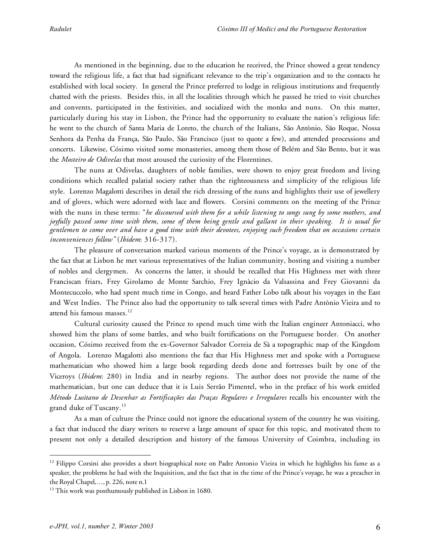As mentioned in the beginning, due to the education he received, the Prince showed a great tendency toward the religious life, a fact that had significant relevance to the trip's organization and to the contacts he established with local society. In general the Prince preferred to lodge in religious institutions and frequently chatted with the priests. Besides this, in all the localities through which he passed he tried to visit churches and convents, participated in the festivities, and socialized with the monks and nuns. On this matter, particularly during his stay in Lisbon, the Prince had the opportunity to evaluate the nation's religious life: he went to the church of Santa Maria de Loreto, the church of the Italians, São Antònio, São Roque, Nossa Senhora da Penha da França, São Paulo, São Francisco (just to quote a few), and attended processions and concerts. Likewise, Cósimo visited some monasteries, among them those of Belém and São Bento, but it was the *Mosteiro de Odivelas* that most aroused the curiosity of the Florentines.

The nuns at Odivelas, daughters of noble families, were shown to enjoy great freedom and living conditions which recalled palatial society rather than the righteousness and simplicity of the religious life style. Lorenzo Magalotti describes in detail the rich dressing of the nuns and highlights their use of jewellery and of gloves, which were adorned with lace and flowers. Corsini comments on the meeting of the Prince with the nuns in these terms: "*he discoursed with them for a while listening to songs sung by some mothers, and* joyfully passed some time with them, some of them being gentle and gallant in their speaking. It is usual for gentlemen to come over and have a good time with their devotees, enjoying such freedom that on occasions certain *inconveniences follow"* (*Ibidem*: 316-317).

The pleasure of conversation marked various moments of the Prince's voyage, as is demonstrated by the fact that at Lisbon he met various representatives of the Italian community, hosting and visiting a number of nobles and clergymen. As concerns the latter, it should be recalled that His Highness met with three Franciscan friars, Frey Girolamo de Monte Sarchio, Frey Ignàcio da Valsassina and Frey Giovanni da Montecuccolo, who had spent much time in Congo, and heard Father Lobo talk about his voyages in the East and West Indies. The Prince also had the opportunity to talk several times with Padre Antònio Vieira and to attend his famous masses. 12

Cultural curiosity caused the Prince to spend much time with the Italian engineer Antoniacci, who showed him the plans of some battles, and who built fortifications on the Portuguese border. On another occasion, Cósimo received from the ex-Governor Salvador Correia de Sà a topographic map of the Kingdom of Angola. Lorenzo Magalotti also mentions the fact that His Highness met and spoke with a Portuguese mathematician who showed him a large book regarding deeds done and fortresses built by one of the Viceroys (*Ibidem*: 280) in India and in nearby regions. The author does not provide the name of the mathematician, but one can deduce that it is Luis Serrão Pimentel, who in the preface of his work entitled *Método Lusitano de Desenhar as Fortificações das Praças Regulares e Irregulares* recalls his encounter with the grand duke of Tuscany. 13

As a man of culture the Prince could not ignore the educational system of the country he was visiting, a fact that induced the diary writers to reserve a large amount of space for this topic, and motivated them to present not only a detailed description and history of the famous University of Coimbra, including its

 $12$  Filippo Corsini also provides a short biographical note on Padre Antonio Vieira in which he highlights his fame as a speaker, the problems he had with the Inquisition, and the fact that in the time of the Prince's voyage, he was a preacher in the Royal Chapel,…*,* p. 226, note n.1

<sup>&</sup>lt;sup>13</sup> This work was posthumously published in Lisbon in 1680.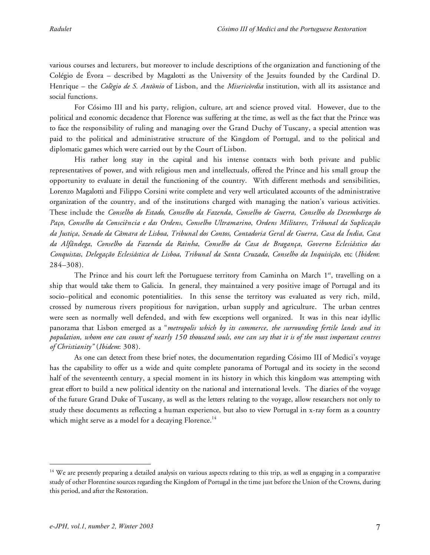various courses and lecturers, but moreover to include descriptions of the organization and functioning of the Colégio de Évora – described by Magalotti as the University of the Jesuits founded by the Cardinal D. Henrique – the *Colègio de S. Antònio* of Lisbon, and the *Misericòrdia* institution, with all its assistance and social functions.

For Cósimo III and his party, religion, culture, art and science proved vital. However, due to the political and economic decadence that Florence was suffering at the time, as well as the fact that the Prince was to face the responsibility of ruling and managing over the Grand Duchy of Tuscany, a special attention was paid to the political and administrative structure of the Kingdom of Portugal, and to the political and diplomatic games which were carried out by the Court of Lisbon.

His rather long stay in the capital and his intense contacts with both private and public representatives of power, and with religious men and intellectuals, offered the Prince and his small group the opportunity to evaluate in detail the functioning of the country. With different methods and sensibilities, Lorenzo Magalotti and Filippo Corsini write complete and very well articulated accounts of the administrative organization of the country, and of the institutions charged with managing the nation's various activities. These include the *Conselho do Estado*, *Conselho da Fazenda*, *Conselho de Guerra*, *Conselho do Desembargo do Paço*, *Conselho da Consciência e das Ordens*, *Conselho Ultramarino*, *Ordens Militares*, *Tribunal da Suplicação da Justiça*, *Senado da Câmara de Lisboa*, *Tribunal dos Contos*, *Contadoria Geral de Guerra*, *Casa da Índia*, *Casa da Alfândega*, *Conselho da Fazenda da Rainha*, *Conselho da Casa de Bragança*, *Governo Eclesiástico das Conquistas*, *Delegação Eclesiástica de Lisboa*, *Tribunal da Santa Cruzada*, *Conselho da Inquisição*, etc (*Ibidem*: 284–308).

The Prince and his court left the Portuguese territory from Caminha on March 1st, travelling on a ship that would take them to Galicia. In general, they maintained a very positive image of Portugal and its socio–political and economic potentialities. In this sense the territory was evaluated as very rich, mild, crossed by numerous rivers propitious for navigation, urban supply and agriculture. The urban centres were seen as normally well defended, and with few exceptions well organized. It was in this near idyllic panorama that Lisbon emerged as a "*metropolis which by its commerce, the surrounding fertile lands and its* population, whom one can count of nearly 150 thousand souls, one can say that it is of the most important centres *of Christianity"* (*Ibidem*: 308).

As one can detect from these brief notes, the documentation regarding Cósimo III of Medici's voyage has the capability to offer us a wide and quite complete panorama of Portugal and its society in the second half of the seventeenth century, a special moment in its history in which this kingdom was attempting with great effort to build a new political identity on the national and international levels. The diaries of the voyage of the future Grand Duke of Tuscany, as well as the letters relating to the voyage, allow researchers not only to study these documents as reflecting a human experience, but also to view Portugal in x-ray form as a country which might serve as a model for a decaying Florence. $^{14}$ 

<sup>&</sup>lt;sup>14</sup> We are presently preparing a detailed analysis on various aspects relating to this trip, as well as engaging in a comparative study of other Florentine sources regarding the Kingdom of Portugal in the time just before the Union of the Crowns, during this period, and after the Restoration.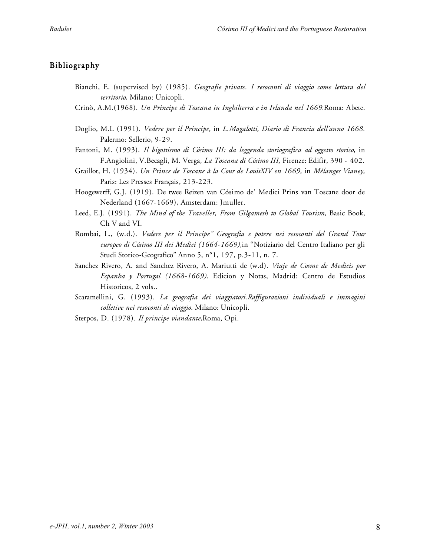## Bibliography

- Bianchi, E. (supervised by) (1985). *Geografie private. I resoconti di viaggio come lettura del territorio,* Milano: Unicopli.
- Crinò, A.M.(1968). *Un Principe di Toscana in Inghilterra e in Irlanda nel 1669.*Roma: Abete.
- Doglio, M.L (1991). *Vedere per il Principe,* in *L.Magalotti, Diario di Francia dell'anno 1668.* Palermo: Sellerio, 9-29.
- Fantoni, M. (1993). *Il bigottismo di Cósimo III: da leggenda storiografica ad oggetto storico*, in F.Angiolini, V.Becagli, M. Verga*, La Toscana di Cósimo III*, Firenze: Edifir, 390 - 402.
- Graillot, H. (1934). *Un Prince de Toscane à la Cour de LouisXIV en 1669,* in *Mélanges Vianey,* Paris: Les Presses Français, 213-223.
- Hoogewerff, G.J. (1919). De twee Reizen van Cósimo de' Medici Prins van Toscane door de Nederland (1667-1669), Amsterdam: Jmuller.
- Leed, E.J. (1991). *The Mind of the Traveller, From Gilgamesh to Global Tourism,* Basic Book, Ch V and VI.
- Rombai, L., (w.d.). *Vedere per il Principe" Geografia e potere nei resoconti del Grand Tour europeo di Cósimo III dei Medici (1664-1669),*in "Notiziario del Centro Italiano per gli Studi Storico-Geografico" Anno 5, n°1, 197, p.3-11, n. 7.
- Sanchez Rivero, A. and Sanchez Rivero, A. Mariutti de (w.d). *Viaje de Cosme de Medicis por Espanha y Portugal (1668-1669)*. Edicion y Notas, Madrid: Centro de Estudios Historicos, 2 vols..
- Scaramellini, G. (1993). *La geografia dei viaggiatori.Raffigurazioni individuali e immagini colletive nei resoconti di viaggio.* Milano: Unicopli.
- Sterpos, D. (1978). *Il principe viandante,*Roma, Opi.